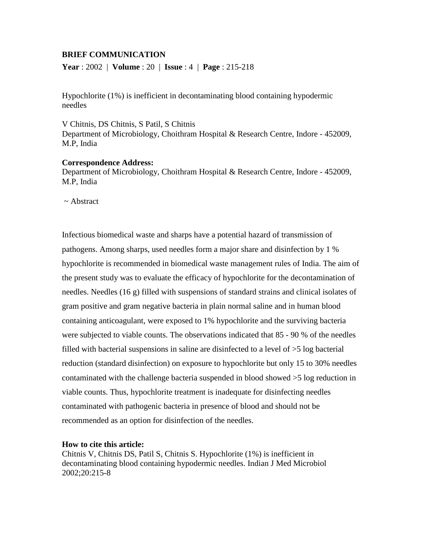# **BRIEF COMMUNICATION**

**Year** : 2002 | **Volume** : 20 | **Issue** : 4 | **Page** : 215-218

Hypochlorite (1%) is inefficient in decontaminating blood containing hypodermic needles

V Chitnis, DS Chitnis, S Patil, S Chitnis Department of Microbiology, Choithram Hospital & Research Centre, Indore - 452009, M.P, India

## **Correspondence Address:**

Department of Microbiology, Choithram Hospital & Research Centre, Indore - 452009, M.P, India

~ Abstract

Infectious biomedical waste and sharps have a potential hazard of transmission of pathogens. Among sharps, used needles form a major share and disinfection by 1 % hypochlorite is recommended in biomedical waste management rules of India. The aim of the present study was to evaluate the efficacy of hypochlorite for the decontamination of needles. Needles (16 g) filled with suspensions of standard strains and clinical isolates of gram positive and gram negative bacteria in plain normal saline and in human blood containing anticoagulant, were exposed to 1% hypochlorite and the surviving bacteria were subjected to viable counts. The observations indicated that 85 - 90 % of the needles filled with bacterial suspensions in saline are disinfected to a level of >5 log bacterial reduction (standard disinfection) on exposure to hypochlorite but only 15 to 30% needles contaminated with the challenge bacteria suspended in blood showed >5 log reduction in viable counts. Thus, hypochlorite treatment is inadequate for disinfecting needles contaminated with pathogenic bacteria in presence of blood and should not be recommended as an option for disinfection of the needles.

## **How to cite this article:**

Chitnis V, Chitnis DS, Patil S, Chitnis S. Hypochlorite (1%) is inefficient in decontaminating blood containing hypodermic needles. Indian J Med Microbiol 2002;20:215-8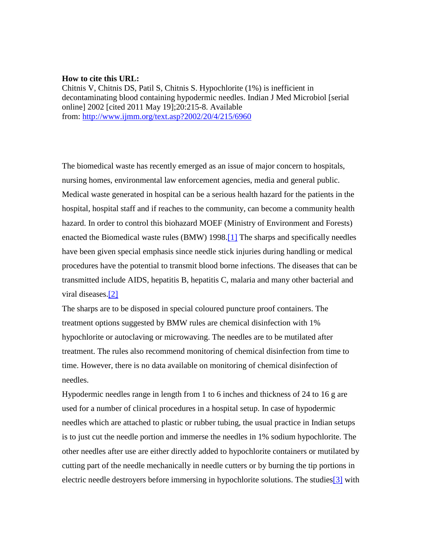#### **How to cite this URL:**

Chitnis V, Chitnis DS, Patil S, Chitnis S. Hypochlorite (1%) is inefficient in decontaminating blood containing hypodermic needles. Indian J Med Microbiol [serial online] 2002 [cited 2011 May 19];20:215-8. Available from: <http://www.ijmm.org/text.asp?2002/20/4/215/6960>

The biomedical waste has recently emerged as an issue of major concern to hospitals, nursing homes, environmental law enforcement agencies, media and general public. Medical waste generated in hospital can be a serious health hazard for the patients in the hospital, hospital staff and if reaches to the community, can become a community health hazard. In order to control this biohazard MOEF (Ministry of Environment and Forests) enacted the Biomedical waste rules (BMW) 1998.<sup>[1]</sup> The sharps and specifically needles have been given special emphasis since needle stick injuries during handling or medical procedures have the potential to transmit blood borne infections. The diseases that can be transmitted include AIDS, hepatitis B, hepatitis C, malaria and many other bacterial and viral diseases[.\[2\]](http://www.ijmm.org/article.asp?issn=0255-0857;year=2002;volume=20;issue=4;spage=215;epage=218;aulast=Chitnis#ref2#ref2)

The sharps are to be disposed in special coloured puncture proof containers. The treatment options suggested by BMW rules are chemical disinfection with 1% hypochlorite or autoclaving or microwaving. The needles are to be mutilated after treatment. The rules also recommend monitoring of chemical disinfection from time to time. However, there is no data available on monitoring of chemical disinfection of needles.

Hypodermic needles range in length from 1 to 6 inches and thickness of 24 to 16 g are used for a number of clinical procedures in a hospital setup. In case of hypodermic needles which are attached to plastic or rubber tubing, the usual practice in Indian setups is to just cut the needle portion and immerse the needles in 1% sodium hypochlorite. The other needles after use are either directly added to hypochlorite containers or mutilated by cutting part of the needle mechanically in needle cutters or by burning the tip portions in electric needle destroyers before immersing in hypochlorite solutions. The studie[s\[3\]](http://www.ijmm.org/article.asp?issn=0255-0857;year=2002;volume=20;issue=4;spage=215;epage=218;aulast=Chitnis#ref3#ref3) with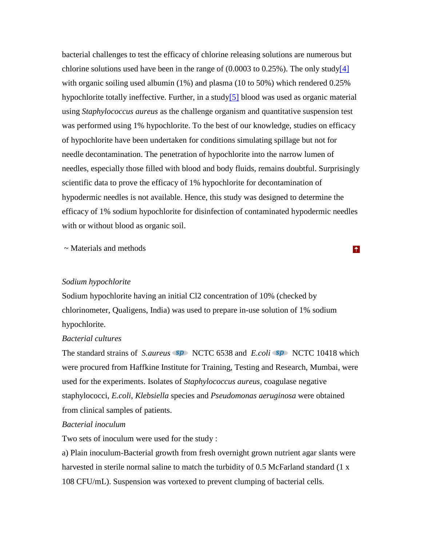bacterial challenges to test the efficacy of chlorine releasing solutions are numerous but chlorine solutions used have been in the range of  $(0.0003$  to  $0.25\%$ ). The only stud[y\[4\]](http://www.ijmm.org/article.asp?issn=0255-0857;year=2002;volume=20;issue=4;spage=215;epage=218;aulast=Chitnis#ref4#ref4) with organic soiling used albumin (1%) and plasma (10 to 50%) which rendered 0.25% hypochlorite totally ineffective. Further, in a study<sup>[5]</sup> blood was used as organic material using *Staphylococcus aureus* as the challenge organism and quantitative suspension test was performed using 1% hypochlorite. To the best of our knowledge, studies on efficacy of hypochlorite have been undertaken for conditions simulating spillage but not for needle decontamination. The penetration of hypochlorite into the narrow lumen of needles, especially those filled with blood and body fluids, remains doubtful. Surprisingly scientific data to prove the efficacy of 1% hypochlorite for decontamination of hypodermic needles is not available. Hence, this study was designed to determine the efficacy of 1% sodium hypochlorite for disinfection of contaminated hypodermic needles with or without blood as organic soil.

~ Materials and methods

### *Sodium hypochlorite*

Sodium hypochlorite having an initial Cl2 concentration of 10% (checked by chlorinometer, Qualigens, India) was used to prepare in-use solution of 1% sodium hypochlorite.

## *Bacterial cultures*

The standard strains of *S.aureus* **SP** NCTC 6538 and *E.coli* **SP** NCTC 10418 which were procured from Haffkine Institute for Training, Testing and Research, Mumbai, were used for the experiments. Isolates of *Staphylococcus aureus*, coagulase negative staphylococci, *E.coli*, *Klebsiella* species and *Pseudomonas aeruginosa* were obtained from clinical samples of patients.

# *Bacterial inoculum*

Two sets of inoculum were used for the study :

a) Plain inoculum-Bacterial growth from fresh overnight grown nutrient agar slants were harvested in sterile normal saline to match the turbidity of 0.5 McFarland standard (1 x 108 CFU/mL). Suspension was vortexed to prevent clumping of bacterial cells.

 $\uparrow$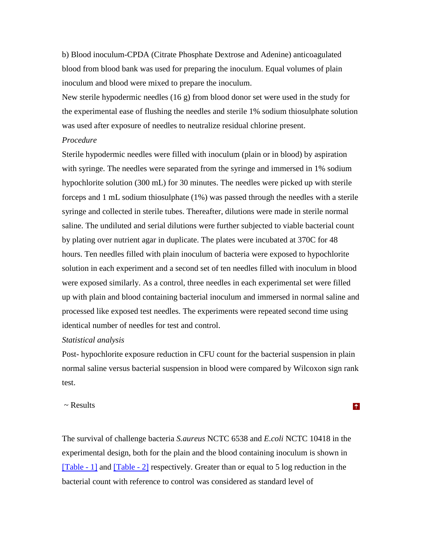b) Blood inoculum-CPDA (Citrate Phosphate Dextrose and Adenine) anticoagulated blood from blood bank was used for preparing the inoculum. Equal volumes of plain inoculum and blood were mixed to prepare the inoculum.

New sterile hypodermic needles  $(16 \text{ g})$  from blood donor set were used in the study for the experimental ease of flushing the needles and sterile 1% sodium thiosulphate solution was used after exposure of needles to neutralize residual chlorine present.

# *Procedure*

Sterile hypodermic needles were filled with inoculum (plain or in blood) by aspiration with syringe. The needles were separated from the syringe and immersed in 1% sodium hypochlorite solution (300 mL) for 30 minutes. The needles were picked up with sterile forceps and 1 mL sodium thiosulphate (1%) was passed through the needles with a sterile syringe and collected in sterile tubes. Thereafter, dilutions were made in sterile normal saline. The undiluted and serial dilutions were further subjected to viable bacterial count by plating over nutrient agar in duplicate. The plates were incubated at 370C for 48 hours. Ten needles filled with plain inoculum of bacteria were exposed to hypochlorite solution in each experiment and a second set of ten needles filled with inoculum in blood were exposed similarly. As a control, three needles in each experimental set were filled up with plain and blood containing bacterial inoculum and immersed in normal saline and processed like exposed test needles. The experiments were repeated second time using identical number of needles for test and control.

## *Statistical analysis*

Post- hypochlorite exposure reduction in CFU count for the bacterial suspension in plain normal saline versus bacterial suspension in blood were compared by Wilcoxon sign rank test.

 $\uparrow$ 

## ~ Results

The survival of challenge bacteria *S.aureus* NCTC 6538 and *E.coli* NCTC 10418 in the experimental design, both for the plain and the blood containing inoculum is shown in [\[Table -](http://www.ijmm.org/viewimage.asp?img=IndianJMedMicrobiol_2002_20_4_215_6960_1.jpg) 1] and [\[Table -](http://www.ijmm.org/viewimage.asp?img=IndianJMedMicrobiol_2002_20_4_215_6960_2.jpg) 2] respectively. Greater than or equal to 5 log reduction in the bacterial count with reference to control was considered as standard level of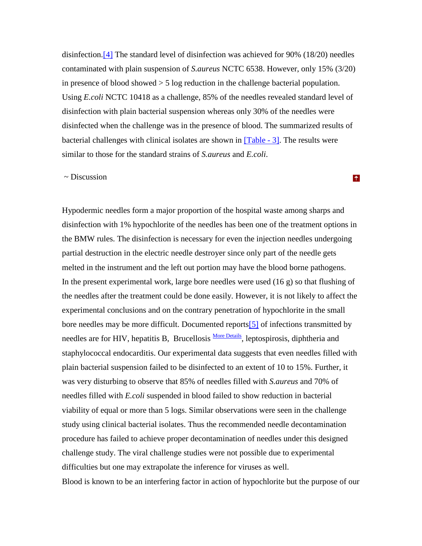disinfection[.\[4\]](http://www.ijmm.org/article.asp?issn=0255-0857;year=2002;volume=20;issue=4;spage=215;epage=218;aulast=Chitnis#ref4#ref4) The standard level of disinfection was achieved for 90% (18/20) needles contaminated with plain suspension of *S.aureus* NCTC 6538. However, only 15% (3/20) in presence of blood showed > 5 log reduction in the challenge bacterial population. Using *E.coli* NCTC 10418 as a challenge, 85% of the needles revealed standard level of disinfection with plain bacterial suspension whereas only 30% of the needles were disinfected when the challenge was in the presence of blood. The summarized results of bacterial challenges with clinical isolates are shown in [\[Table -](http://www.ijmm.org/viewimage.asp?img=IndianJMedMicrobiol_2002_20_4_215_6960_3.jpg) 3]. The results were similar to those for the standard strains of *S.aureus* and *E.coli*.

### ~ Discussion

Hypodermic needles form a major proportion of the hospital waste among sharps and disinfection with 1% hypochlorite of the needles has been one of the treatment options in the BMW rules. The disinfection is necessary for even the injection needles undergoing partial destruction in the electric needle destroyer since only part of the needle gets melted in the instrument and the left out portion may have the blood borne pathogens. In the present experimental work, large bore needles were used  $(16 \text{ g})$  so that flushing of the needles after the treatment could be done easily. However, it is not likely to affect the experimental conclusions and on the contrary penetration of hypochlorite in the small bore needles may be more difficult. Documented report[s\[5\]](http://www.ijmm.org/article.asp?issn=0255-0857;year=2002;volume=20;issue=4;spage=215;epage=218;aulast=Chitnis#ref5#ref5) of infections transmitted by needles are for HIV, hepatitis B, Brucellosis [More Details,](javascript:openWin() leptospirosis, diphtheria and staphylococcal endocarditis. Our experimental data suggests that even needles filled with plain bacterial suspension failed to be disinfected to an extent of 10 to 15%. Further, it was very disturbing to observe that 85% of needles filled with *S.aureus* and 70% of needles filled with *E.coli* suspended in blood failed to show reduction in bacterial viability of equal or more than 5 logs. Similar observations were seen in the challenge study using clinical bacterial isolates. Thus the recommended needle decontamination procedure has failed to achieve proper decontamination of needles under this designed challenge study. The viral challenge studies were not possible due to experimental difficulties but one may extrapolate the inference for viruses as well. Blood is known to be an interfering factor in action of hypochlorite but the purpose of our

#### $\uparrow$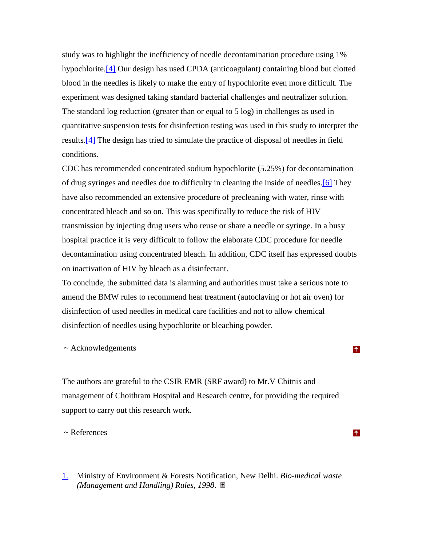study was to highlight the inefficiency of needle decontamination procedure using 1% hypochlorite[.\[4\]](http://www.ijmm.org/article.asp?issn=0255-0857;year=2002;volume=20;issue=4;spage=215;epage=218;aulast=Chitnis#ref4#ref4) Our design has used CPDA (anticoagulant) containing blood but clotted blood in the needles is likely to make the entry of hypochlorite even more difficult. The experiment was designed taking standard bacterial challenges and neutralizer solution. The standard log reduction (greater than or equal to 5 log) in challenges as used in quantitative suspension tests for disinfection testing was used in this study to interpret the results[.\[4\]](http://www.ijmm.org/article.asp?issn=0255-0857;year=2002;volume=20;issue=4;spage=215;epage=218;aulast=Chitnis#ref4#ref4) The design has tried to simulate the practice of disposal of needles in field conditions.

CDC has recommended concentrated sodium hypochlorite (5.25%) for decontamination of drug syringes and needles due to difficulty in cleaning the inside of needles[.\[6\]](http://www.ijmm.org/article.asp?issn=0255-0857;year=2002;volume=20;issue=4;spage=215;epage=218;aulast=Chitnis#ref6#ref6) They have also recommended an extensive procedure of precleaning with water, rinse with concentrated bleach and so on. This was specifically to reduce the risk of HIV transmission by injecting drug users who reuse or share a needle or syringe. In a busy hospital practice it is very difficult to follow the elaborate CDC procedure for needle decontamination using concentrated bleach. In addition, CDC itself has expressed doubts on inactivation of HIV by bleach as a disinfectant.

To conclude, the submitted data is alarming and authorities must take a serious note to amend the BMW rules to recommend heat treatment (autoclaving or hot air oven) for disinfection of used needles in medical care facilities and not to allow chemical disinfection of needles using hypochlorite or bleaching powder.

 $\uparrow$ 

 $\uparrow$ 

#### ~ Acknowledgements

The authors are grateful to the CSIR EMR (SRF award) to Mr.V Chitnis and management of Choithram Hospital and Research centre, for providing the required support to carry out this research work.

~ References

[1.](http://www.ijmm.org/article.asp?issn=0255-0857;year=2002;volume=20;issue=4;spage=215;epage=218;aulast=Chitnis#ft1#ft1) Ministry of Environment & Forests Notification, New Delhi. *Bio-medical waste (Management and Handling) Rules, 1998*.